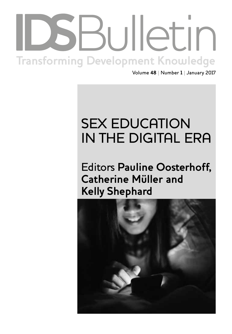# Institute of Development Studies | **bulletin.ids.ac.uk Transforming Development Knowledge**

Volume **48** | Number **1** | January 2017

# SEX EDUCATION IN THE DIGITAL ERA

Editors **Pauline Oosterhoff, Catherine Müller and Kelly Shephard**

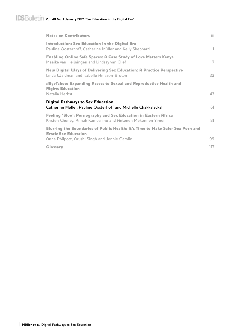| <b>Notes on Contributors</b>                                                                                                  | iii.         |
|-------------------------------------------------------------------------------------------------------------------------------|--------------|
| Introduction: Sex Education in the Digital Era<br>Pauline Oosterhoff, Catherine Müller and Kelly Shephard                     | $\mathbf{1}$ |
| Enabling Online Safe Spaces: A Case Study of Love Matters Kenya<br>Maaike van Heijningen and Lindsay van Clief                | 7            |
| New Digital Ways of Delivering Sex Education: A Practice Perspective<br>Linda Waldman and Isabelle Amazon-Brown               | 23           |
| #ByeTaboo: Expanding Access to Sexual and Reproductive Health and<br><b>Rights Education</b><br>Natalia Herbst                | 43           |
| <b>Digital Pathways to Sex Education</b><br>Catherine Müller, Pauline Oosterhoff and Michelle Chakkalackal                    | 61           |
| Feeling 'Blue': Pornography and Sex Education in Eastern Africa<br>Kristen Cheney, Annah Kamusiime and Anteneh Mekonnen Yimer | 81           |
| Blurring the Boundaries of Public Health: It's Time to Make Safer Sex Porn and<br><b>Erotic Sex Education</b>                 |              |
| Anne Philpott, Arushi Singh and Jennie Gamlin                                                                                 | 99           |
| Glossary                                                                                                                      | 117          |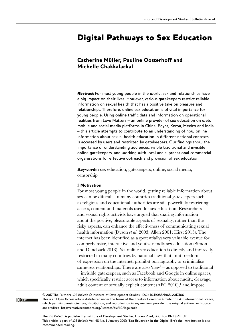## Digital Pathways to Sex Education

### Catherine Müller, Pauline Oosterhoff and Michelle Chakkalackal

Abstract For most young people in the world, sex and relationships have a big impact on their lives. However, various gatekeepers restrict reliable information on sexual health that has a positive take on pleasure and relationships. Therefore, online sex education is of vital importance for young people. Using online traffic data and information on operational realities from Love Matters – an online provider of sex education on web, mobile and social media platforms in China, Egypt, Kenya, Mexico and India – this article attempts to contribute to an understanding of how online information about sexual health education in different national contexts is accessed by users and restricted by gatekeepers. Our findings show the importance of understanding audiences, visible traditional and invisible online gatekeepers, and working with local and supranational commercial organisations for effective outreach and provision of sex education.

**Keywords:** sex education, gatekeepers, online, social media, censorship.

#### 1 Motivation

For most young people in the world, getting reliable information about sex can be difficult. In many countries traditional gatekeepers such as religious and educational authorities are still powerfully restricting access, content and materials used for sex education. Researchers and sexual rights activists have argued that sharing information about the positive, pleasurable aspects of sexuality, rather than the risky aspects, can enhance the effectiveness of communicating sexual health information (Dyson *et al*. 2003; Allen 2001; Hirst 2013). The internet has been identified as a (potentially) very valuable avenue for comprehensive, interactive and youth-friendly sex education (Simon and Daneback 2013). Yet online sex education is directly and indirectly restricted in many countries by national laws that limit freedom of expression on the internet, prohibit pornography or criminalise same-sex relationships. There are also 'new' – as opposed to traditional – invisible gatekeepers, such as Facebook and Google in online spaces, which specifically restrict access to information about nudity, cleavage, adult content or sexually explicit content  $(APC 2010)$ ,<sup>1</sup> and impose

© 2017 The Authors. *IDS Bulletin* © Institute of Development Studies | DOI: 10.19088/1968-2017.106 This is an Open Access article distributed under the terms of the Creative Commons Attribution 4.0 International licence, which permits unrestricted use, distribution, and reproduction in any medium, provided the original authors and source are credited. http://creativecommons.org/licenses/by/4.0/legalcode

The *IDS Bulletin* is published by Institute of Development Studies, Library Road, Brighton BN1 9RE, UK This article is part of *IDS Bulletin* Vol. 48 No. 1 January 2017: **'Sex Education in the Digital Era'**; the Introduction is also recommended reading.

 $\left[\right(\text{cc})\right]$  BY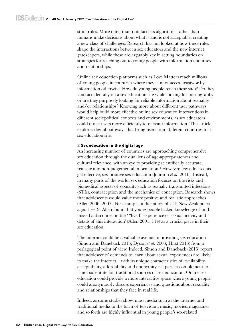strict rules. More often than not, faceless algorithms rather than humans make decisions about what is and is not acceptable, creating a new class of challenges. Research has not looked at how these rules shape the interactions between sex educators and the new internet gatekeepers, while these are arguably key in setting boundaries on strategies for reaching out to young people with information about sex and relationships.

Online sex education platforms such as Love Matters reach millions of young people in countries where they cannot access trustworthy information otherwise. How do young people reach these sites? Do they land accidentally on a sex education site while looking for pornography or are they purposely looking for reliable information about sexuality and/or relationships? Knowing more about different user pathways would help build more effective online sex education interventions in different sociopolitical contexts and environments, as sex educators could direct users more efficiently to relevant information. This article explores digital pathways that bring users from different countries to a sex education site.

#### 2 Sex education in the digital age

An increasing number of countries are approaching comprehensive sex education through the dual lens of age-appropriateness and cultural relevance, with an eye to providing scientifically accurate, realistic and non-judgemental information.2 However, few adolescents get effective, sex-positive sex education (Johnson *et al*. 2016). Instead, in many parts of the world, sex education focuses on the risks and biomedical aspects of sexuality such as sexually transmitted infections (STIs), contraception and the mechanics of conception. Research shows that adolescents would value more positive and realistic approaches (Allen 2006, 2007). For example, in her study of 515 New Zealanders aged 17–19, Allen found that young people lacked knowledge of and missed a discourse on the ' "lived" experience of sexual activity and details of this interaction' (Allen 2001: 114) as a crucial piece in their sex education.

The internet could be a valuable avenue in providing sex education (Simon and Daneback 2013; Dyson *et al*. 2003; Hirst 2013) from a pedagogical point of view. Indeed, Simon and Daneback (2013) report that adolescents' demands to learn about sexual experiences are likely to make the internet – with its unique characteristics of availability, acceptability, affordability and anonymity – a perfect complement to, if not substitute for, traditional sources of sex education. Online sex education could provide a more interactive space where young people could anonymously discuss experiences and questions about sexuality and relationships that they face in real life.

Indeed, as some studies show, mass media such as the internet and traditional media in the form of television, music, movies, magazines and so forth are highly influential in young people's sex-related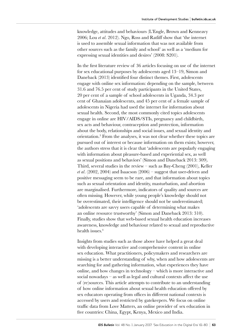knowledge, attitudes and behaviours (L'Engle, Brown and Kenneavy 2006; Lou *et al*. 2012). Ngo, Ross and Ratliff show that 'the internet is used to assemble sexual information that was not available from other sources such as the family and school' as well as a 'medium for expressing sexual identities and desires' (2008: S201).

In the first literature review of 36 articles focusing on use of the internet for sex educational purposes by adolescents aged 13–19, Simon and Daneback (2013) identified four distinct themes. First, adolescents engage with online sex information: depending on the sample, between 31.6 and 76.5 per cent of study participants in the United States, 20 per cent of a sample of school adolescents in Uganda, 34.3 per cent of Ghanaian adolescents, and 45 per cent of a female sample of adolescents in Nigeria had used the internet for information about sexual health. Second, the most commonly cited topics adolescents engage in online are HIV/AIDS/STIs, pregnancy and childbirth, sex acts and behaviour, contraception and protection, information about the body, relationships and social issues, and sexual identity and orientation.3 From the analyses, it was not clear whether these topics are pursued out of interest or because information on them exists; however, the authors stress that it is clear that 'adolescents are popularly engaging with information about pleasure-based and experiential sex, as well as sexual positions and behaviors' (Simon and Daneback 2013: 309). Third, several studies in the review – such as Bay-Cheng  $(2001)$ , Keller *et al*. (2002, 2004) and Isaacson (2006) – suggest that user-driven and positive messaging seem to be rare, and that information about topics such as sexual orientation and identity, masturbation, and abortion are marginalised. Furthermore, indicators of quality and sources are often missing. However, while young people's knowledge should not be overestimated, their intelligence should not be underestimated; 'adolescents are savvy users capable of determining what makes an online resource trustworthy' (Simon and Daneback 2013: 310). Finally, studies show that web-based sexual health education increases awareness, knowledge and behaviour related to sexual and reproductive health issues.<sup>4</sup>

Insights from studies such as those above have helped a great deal with developing interactive and comprehensive content in online sex education. What practitioners, policymakers and researchers are missing is a better understanding of why, when and how adolescents are searching for and gathering information, what experiences they have online, and how changes in technology – which is more interactive and social nowadays – as well as legal and cultural contexts affect the use of (re)sources. This article attempts to contribute to an understanding of how online information about sexual health education offered by sex educators operating from offices in different national contexts is accessed by users and restricted by gatekeepers. We focus on online traffic data from Love Matters, an online provider of sex education in five countries: China, Egypt, Kenya, Mexico and India.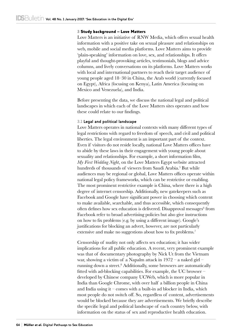#### 3 Study background – Love Matters

Love Matters is an initiative of RNW Media, which offers sexual health information with a positive take on sexual pleasure and relationships on web, mobile and social media platforms. Love Matters aims to provide 'plain-speaking' information on love, sex, and relationships. It offers playful and thought-provoking articles, testimonials, blogs and advice columns, and lively conversations on its platforms. Love Matters works with local and international partners to reach their target audience of young people aged 18–30 in China, the Arab world (currently focused on Egypt), Africa (focusing on Kenya), Latin America (focusing on Mexico and Venezuela), and India.

Before presenting the data, we discuss the national legal and political landscapes in which each of the Love Matters sites operates and how these could relate to our findings.

#### **3.1 Legal and political landscape**

Love Matters operates in national contexts with many different types of legal restrictions with regard to freedom of speech, and civil and political liberties. The legal environment is an important part of the context. Even if visitors do not reside locally, national Love Matters offices have to abide by these laws in their engagement with young people about sexuality and relationships. For example, a short information film, *My First Wedding Night*, on the Love Matters Egypt website attracted hundreds of thousands of viewers from Saudi Arabia.<sup>5</sup> But while audiences may be regional or global, Love Matters offices operate within national legal policy frameworks, which can be restrictive or enabling. The most prominent restrictive example is China, where there is a high degree of internet censorship. Additionally, new gatekeepers such as Facebook and Google have significant power in choosing which content to make available, searchable, and thus accessible, which consequently often defines how sex education is delivered. Disapproval messages<sup>6</sup> from Facebook refer to broad advertising policies but also give instructions on how to fix problems (e.g. by using a different image). Google's justifications for blocking an advert, however, are not particularly extensive and make no suggestions about how to fix problems.<sup>7</sup>

Censorship of nudity not only affects sex education; it has wider implications for all public education. A recent, very prominent example was that of documentary photography by Nick Ut from the Vietnam war, showing a victim of a Napalm attack in 1972 – a naked girl – running down a street.<sup>8</sup> Additionally, some browsers are automatically fitted with ad-blocking capabilities. For example, the UC browser – developed by Chinese company UCWeb, which is more popular in India than Google Chrome, with over half a billion people in China and India using it – comes with a built-in ad blocker in India, which most people do not switch off. So, regardless of content, advertisements would be blocked because they are advertisements. We briefly describe the specific legal and political landscape of each country below, with information on the status of sex and reproductive health education.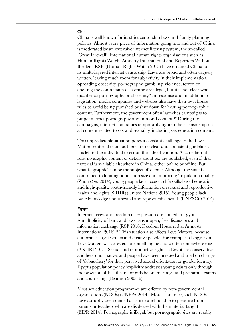#### China

China is well known for its strict censorship laws and family planning policies. Almost every piece of information going into and out of China is moderated by an extensive internet filtering system, the so-called 'Great Firewall'. International human rights organisations such as Human Rights Watch, Amnesty International and Reporters Without Borders (RSF) (Human Rights Watch 2013) have criticised China for its multi-layered internet censorship. Laws are broad and often vaguely written, leaving much room for subjectivity in their implementation. Spreading obscenity, pornography, gambling, violence, terror, or abetting the commission of a crime are illegal, but it is not clear what qualifies as pornography or obscenity.<sup>9</sup> In response and in addition to legislation, media companies and websites also have their own house rules to avoid being punished or shut down for hosting pornographic content. Furthermore, the government often launches campaigns to purge internet pornography and immoral content.<sup>10</sup> During these campaigns, internet companies temporarily tighten their censorship on all content related to sex and sexuality, including sex education content.

This unpredictable situation poses a constant challenge to the Love Matters editorial team, as there are no clear and consistent guidelines; it is left to the individual to err on the side of caution. As an editorial rule, no graphic content or details about sex are published, even if that material is available elsewhere in China, either online or offline. But what is 'graphic' can be the subject of debate. Although the state is committed to limiting population size and improving 'population quality' (Zhou *et al*. 2014), young people lack access to life skills-based education and high-quality, youth-friendly information on sexual and reproductive health and rights (SRHR) (United Nations 2015). Young people lack basic knowledge about sexual and reproductive health (UNESCO 2015).

#### Egypt

Internet access and freedom of expression are limited in Egypt. A multiplicity of bans and laws censor open, free discussions and information exchange (RSF 2016; Freedom House n.d.a; Amnesty International 2016).<sup>11</sup> This situation also affects Love Matters, because authorities target writers and creative people. For example, a blogger on Love Matters was arrested for something he had written somewhere else (ANHRI 2015). Sexual and reproductive rights in Egypt are conservative and heteronormative; and people have been arrested and tried on charges of 'debauchery' for their perceived sexual orientation or gender identity. Egypt's population policy 'explicitly addresses young adults only through the provision of healthcare for girls before marriage and premarital exams and counselling' (Beamish 2003: 6).

Most sex education programmes are offered by non-governmental organisations (NGOs) (UNFPA 2014). More than once, such NGOs have abruptly been denied access to a school due to pressure from parents or teachers who are displeased with the material taught (EIPR 2014). Pornography is illegal, but pornographic sites are readily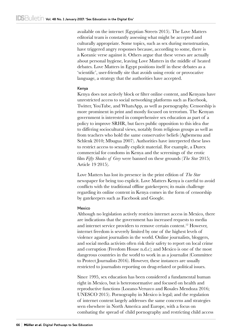available on the internet (Egyptian Streets 2015). The Love Matters editorial team is constantly assessing what might be accepted and culturally appropriate. Some topics, such as sex during menstruation, have triggered angry responses because, according to some, there is a Koranic verse against it. Others argue that these verses are actually about personal hygiene, leaving Love Matters in the middle of heated debates. Love Matters in Egypt positions itself in these debates as a 'scientific', user-friendly site that avoids using erotic or provocative language, a strategy that the authorities have accepted.

#### Kenya

Kenya does not actively block or filter online content, and Kenyans have unrestricted access to social networking platforms such as Facebook, Twitter, YouTube, and WhatsApp, as well as pornography. Censorship is more prominent in print and mostly focused on terrorism. The Kenyan government is interested in comprehensive sex education as part of a policy to improve SRHR, but faces public opposition to this idea due to differing sociocultural views, notably from religious groups as well as from teachers who hold the same conservative beliefs (Agbemenu and Schlenk 2010; Mbugua 2007). Authorities have interpreted these laws to restrict access to sexually explicit material. For example, a Durex commercial for condoms in Kenya and the screenings of the erotic film *Fifty Shades of Grey* were banned on these grounds (*The Star* 2015; Article 19 2015).

Love Matters has lost its presence in the print edition of *The Star* newspaper for being too explicit. Love Matters Kenya is careful to avoid conflicts with the traditional offline gatekeepers; its main challenge regarding its online content in Kenya comes in the form of censorship by gatekeepers such as Facebook and Google.

#### **Mexico**

Although no legislation actively restricts internet access in Mexico, there are indications that the government has increased requests to media and internet service providers to remove certain content.<sup>12</sup> However, internet freedom is severely limited by one of the highest levels of violence against journalists in the world. Online journalists, bloggers, and social media activists often risk their safety to report on local crime and corruption (Freedom House n.d.c); and Mexico is one of the most dangerous countries in the world to work in as a journalist (Committee to Protect Journalists 2016). However, these instances are usually restricted to journalists reporting on drug-related or political issues.

Since 1995, sex education has been considered a fundamental human right in Mexico, but is heteronormative and focused on health and reproductive functions (Lozano-Veruzco and Rosales Mendoza 2016; UNESCO 2015). Pornography in Mexico is legal; and the regulation of internet content largely addresses the same concerns and strategies seen elsewhere in North America and Europe, with a focus on combating the spread of child pornography and restricting child access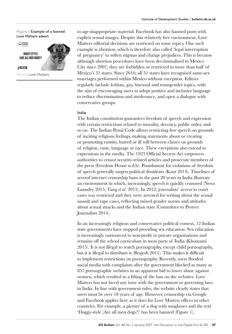#### **Figure 1** Example of a banned Love Matters advert

PYAAR

 $C$  160 km

**BOGGY-STYLE** (ARE ALL MEN DOGS?)



Source Love Matters.

to age-inappropriate material. Facebook has also banned posts with explicit sexual images. Despite this relatively free environment, Love Matters editorial decisions are restricted on some topics. One such example is abortion, which is therefore also called 'legal interruption of pregnancy' to soften stigmas and change prejudices. This is because although abortion procedures have been decriminalised in Mexico City since 2007, they are forbidden or restricted in more than half of Mexico's 31 states. Since 2010, all 31 states have recognised same-sex marriages performed within Mexico without exception. Editors regularly include lesbian, gay, bisexual and transgender topics, with the aim of encouraging users to adopt positive and inclusive language to reduce discrimination and intolerance, and open a dialogue with conservative groups.

#### India

The Indian constitution guarantees freedom of speech and expression with certain restrictions related to morality, decency, public order, and so on. The Indian Penal Code allows restricting free speech on grounds of inciting religious feelings, making statements about or creating or promoting enmity, hatred or ill will between classes on grounds of religion, caste, language or race. These exceptions also extend to expressions in the media. The 1923 Official Secrets Act empowers authorities to censor security-related articles and prosecute members of the press (Freedom House n.d.b). Punishment for violations of freedom of speech generally targets political dissidents (Kant 2014). Timelines of several internet censorship bans in the past 20 years in India illustrate an environment in which, increasingly, speech is quickly censored (News Laundry 2015; Tang *et al*. 2015). In 2012, journalists' access to court cases was restricted and they were arrested for writing about the sexual assault and rape cases, reflecting mixed gender norms and attitudes about sexual attacks and the Indian state (Committee to Protect Journalists 2014).

In an increasingly religious and conservative political context, 12 Indian state governments have stopped providing sex education. Sex education is increasingly outsourced to non-profit or private organisations and remains off the school curriculum in most parts of India (Khomami 2015). It is not illegal to watch pornography, except child pornography, but it is illegal to distribute it (Brajesh 2011). This makes it difficult to implement restrictions on pornography. Recently, users flooded social media with complaints after the government blocked as many as 857 pornographic websites in an apparent bid to lower abuse against women, which resulted in a lifting of the ban on the websites. Love Matters has not faced any issue with the government or governing laws in India. In line with government rules, the website clearly states that users must be over 18 years of age. However, censorship via Google and Facebook applies here as it does for Love Matters offices in other countries. For example, a picture of a dog with sunglasses and the text 'Doggy-style (Are all men dogs?)' has been banned (Figure 1).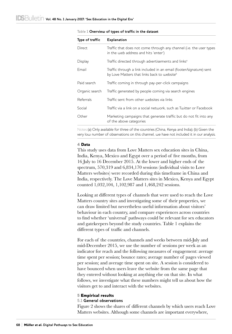| Type of traffic | <b>Explanation</b>                                                                                                             |
|-----------------|--------------------------------------------------------------------------------------------------------------------------------|
| Direct.         | Traffic that does not come through any channel (i.e. the user types<br>in the web address and hits 'enter')                    |
| Display         | Traffic directed through advertisements and links <sup>a</sup>                                                                 |
| <b>Email</b>    | Traffic through a link included in an email (footer/signature) sent<br>by Love Matters that links back to website <sup>b</sup> |
| Paid search     | Traffic coming in through pay-per-click campaigns                                                                              |
| Organic search  | Traffic generated by people coming via search engines                                                                          |
| Referrals       | Traffic sent from other websites via links                                                                                     |
| Social          | Traffic via a link on a social network, such as Twitter or Facebook                                                            |
| Other           | Marketing campaigns that generate traffic but do not fit into any<br>of the above categories                                   |

#### **Table 1 Overview of types of traffic in the dataset**

Notes (a) Only available for three of the countries (China, Kenya and India); (b) Given the very low number of observations on this channel, we have not included it in our analysis.

#### 4 Data

This study uses data from Love Matters sex education sites in China, India, Kenya, Mexico and Egypt over a period of five months, from 16 July to 16 December 2015. At the lower and higher ends of the spectrum, 570,319 and 6,834,170 sessions (individual visits to Love Matters websites) were recorded during this timeframe in China and India, respectively. The Love Matters sites in Mexico, Kenya and Egypt counted 1,032,104, 1,102,987 and 1,468,242 sessions.

Looking at different types of channels that were used to reach the Love Matters country sites and investigating some of their properties, we can draw limited but nevertheless useful information about visitors' behaviour in each country, and compare experiences across countries to find whether 'universal' pathways could be relevant for sex educators and gatekeepers beyond the study countries. Table 1 explains the different types of traffic and channels.

For each of the countries, channels and weeks between mid-July and mid-December 2015, we use the number of sessions per week as an indicator for reach and the following measures of engagement: average time spent per session; bounce rates; average number of pages viewed per session; and average time spent on site. A session is considered to have bounced when users leave the website from the same page that they entered without looking at anything else on that site. In what follows, we investigate what these numbers might tell us about how the visitors get to and interact with the websites.

#### 5 Empirical results

#### **5.1 General observations**

Figure 2 shows the shares of different channels by which users reach Love Matters websites. Although some channels are important everywhere,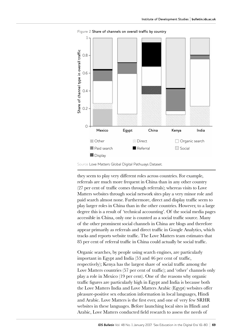

**Figure 2** Share of channels on overall traffic by country

they seem to play very different roles across countries. For example, referrals are much more frequent in China than in any other country (27 per cent of traffic comes through referrals); whereas visits to Love Matters websites through social network sites play a very minor role and paid search almost none. Furthermore, direct and display traffic seem to play larger roles in China than in the other countries. However, to a large degree this is a result of 'technical accounting'. Of the social media pages accessible in China, only one is counted as a social traffic source. Many of the other prominent social channels in China are blogs and therefore appear primarily as referrals and direct traffic in Google Analytics, which tracks and reports website traffic. The Love Matters team estimates that 85 per cent of referral traffic in China could actually be social traffic.

Organic searches, by people using search engines, are particularly important in Egypt and India (53 and 46 per cent of traffic, respectively); Kenya has the largest share of social traffic among the Love Matters countries (57 per cent of traffic); and 'other' channels only play a role in Mexico (19 per cent). One of the reasons why organic traffic figures are particularly high in Egypt and India is because both the Love Matters India and Love Matters Arabic (Egypt) websites offer pleasure-positive sex education information in local languages, Hindi and Arabic. Love Matters is the first ever, and one of very few SRHR websites in these languages. Before launching local sites in Hindi and Arabic, Love Matters conducted field research to assess the needs of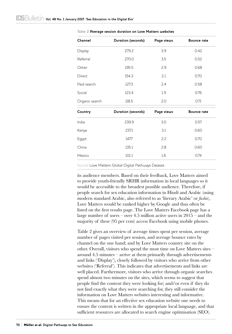| Channel         | Duration (seconds) | Bounce rate |             |  |
|-----------------|--------------------|-------------|-------------|--|
| Display         | 279.2              | 3.9         | 0.42        |  |
| Referral        | 270.0<br>3.5       |             | 0.52        |  |
| Other           | 195.5              | 2.9         | 0.68        |  |
| 154.3<br>Direct |                    | 2.1         | 0.70        |  |
| Paid search     | 127.3              | 2.4         | 0.58        |  |
| Social          | 123.4              | 1.9         | 0.76        |  |
| Organic search  | 118.5              | 2.0         | 0.71        |  |
| Country         | Duration (seconds) | Page views  | Bounce rate |  |
| India           | 239.9              | 3.0         | 0.57        |  |
| Kenya           | 237.1              | 3.1         | 0.60        |  |
| Egypt           | 147.7              | 2.2         | 0.70        |  |
| China           | 135.1              | 2.8         | 0.60        |  |
| Mexico          | 101.1              | 1.6         | 0.74        |  |

**Table 2 Average session duration on Love Matters websites**

Source Love Matters Global Digital Pathways Dataset.

its audience members. Based on their feedback, Love Matters aimed to provide youth-friendly SRHR information in local languages so it would be accessible to the broadest possible audience. Therefore, if people search for sex education information in Hindi and Arabic (using modern standard Arabic, also referred to as 'literary Arabic' or *fusha*), Love Matters would be ranked higher by Google and thus often be listed on the first results page. The Love Matters Facebook page has a large number of users – over 4.5 million active users in  $2015$  – and the majority of these (95 per cent) access Facebook using mobile phones.

Table 2 gives an overview of average times spent per session, average number of pages visited per session, and average bounce rates by channel on the one hand; and by Love Matters country site on the other. Overall, visitors who spend the most time on Love Matters sites – around 4.5 minutes – arrive at them primarily through advertisements and links ('Display'), closely followed by visitors who arrive from other websites ('Referral'). This indicates that advertisements and links are well placed. Furthermore, visitors who arrive through organic searches spend almost two minutes on the sites, which seems to suggest that people find the content they were looking for; and/or even if they do not find exactly what they were searching for, they still consider the information on Love Matters websites interesting and informative. This means that for an effective sex education website one needs to ensure the content is written in the appropriate local language, and that sufficient resources are allocated to search engine optimisation (SEO).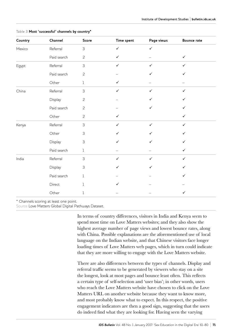| Country | Channel     | Score          | Time spent   | Page views   | Bounce rate  |
|---------|-------------|----------------|--------------|--------------|--------------|
| Mexico  | Referral    | 3              | $\checkmark$ | $\checkmark$ |              |
|         | Paid search | $\overline{c}$ | ✓            |              | ✓            |
| Egypt   | Referral    | 3              | $\checkmark$ | $\checkmark$ | $\checkmark$ |
|         | Paid search | $\overline{c}$ |              | ✓            | ✓            |
|         | Other       | $\mathbf{1}$   | ✓            |              |              |
| China   | Referral    | $\mathsf 3$    | $\checkmark$ | $\checkmark$ | ✓            |
|         | Display     | $\overline{c}$ |              | ✓            | ✓            |
|         | Paid search | $\overline{c}$ |              | ✓            |              |
|         | Other       | $\overline{c}$ | $\checkmark$ |              | ✓            |
| Kenya   | Referral    | $\mathfrak{Z}$ | $\checkmark$ | $\checkmark$ | $\checkmark$ |
|         | Other       | 3              | ✓            | ✓            | ✓            |
|         | Display     | 3              | ✓            | ✓            | ✓            |
|         | Paid search | $\mathbf{1}$   |              |              | ✓            |
| India   | Referral    | 3              | ✓            | $\checkmark$ | ✓            |
|         | Display     | 3              |              | ✓            | ✓            |
|         | Paid search | $\mathbf{1}$   |              |              | ✓            |
|         | Direct      | $\mathbf{1}$   |              |              |              |
|         | Other       | 1              |              |              | $\checkmark$ |

#### **Table 3 Most 'successful' channels by country\***

\* Channels scoring at least one point.

Source Love Matters Global Digital Pathways Dataset.

In terms of country differences, visitors in India and Kenya seem to spend most time on Love Matters websites; and they also show the highest average number of page views and lowest bounce rates, along with China. Possible explanations are the aforementioned use of local language on the Indian website, and that Chinese visitors face longer loading times of Love Matters web pages, which in turn could indicate that they are more willing to engage with the Love Matters website.

There are also differences between the types of channels. Display and referral traffic seems to be generated by viewers who stay on a site the longest, look at most pages and bounce least often. This reflects a certain type of self-selection and 'user bias'; in other words, users who reach the Love Matters website have chosen to click on the Love Matters URL on another website because they want to know more, and most probably know what to expect. In this respect, the positive engagement indicators are then a good sign, suggesting that the users do indeed find what they are looking for. Having seen the varying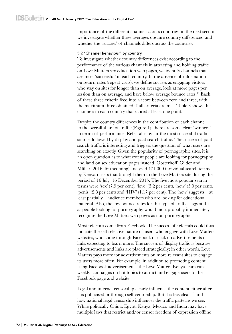importance of the different channels across countries, in the next section we investigate whether these averages obscure country differences, and whether the 'success' of channels differs across the countries.

#### **5.2 'Channel behaviour' by country**

To investigate whether country differences exist according to the performance of the various channels in attracting and holding traffic on Love Matters sex education web pages, we identify channels that are most 'successful' in each country. In the absence of information on return rates (repeat visits), we define success as engaging visitors who stay on sites for longer than on average, look at more pages per session than on average, and have below average bounce rates.<sup>13</sup> Each of these three criteria feed into a score between zero and three, with the maximum three obtained if all criteria are met. Table 3 shows the channels in each country that scored at least one point.

Despite the country differences in the contribution of each channel to the overall share of traffic (Figure 1), there are some clear 'winners' in terms of performance. Referral is by far the most successful traffic source, followed by display and paid search traffic. The success of paid search traffic is interesting and triggers the question of what users are searching on exactly. Given the popularity of pornographic sites, it is an open question as to what extent people are looking for pornography and land on sex education pages instead. Oosterhoff, Gilder and Müller (2016, forthcoming) analysed 471,000 individual search terms by Kenyan users that brought them to the Love Matters site during the period of 16 July–16 December 2015. The five most popular search terms were 'sex' (7.9 per cent), 'love' (3.2 per cent), 'how' (3.0 per cent), 'penis' (2.8 per cent) and 'HIV' (1.17 per cent). The 'how' suggests – at least partially – audience members who are looking for educational material. Also, the low bounce rates for this type of traffic suggest this, as people looking for pornography would most probably immediately recognise the Love Matters web pages as non-pornographic.

Most referrals come from Facebook. The success of referrals could thus indicate the self-selective nature of users who engage with Love Matters websites, who come through Facebook or click on advertisements or links expecting to learn more. The success of display traffic is because advertisements and links are placed strategically; in other words, Love Matters pays more for advertisements on more relevant sites to engage its users more often. For example, in addition to promoting content using Facebook advertisements, the Love Matters Kenya team runs weekly campaigns on hot topics to attract and engage users to the Facebook page and website.

Legal and internet censorship clearly influence the content either after it is publicised or through self-censorship. But it is less clear if and how national legal censorship influences the traffic patterns we see. While politically China, Egypt, Kenya, Mexico and India may have multiple laws that restrict and/or censor freedom of expression offline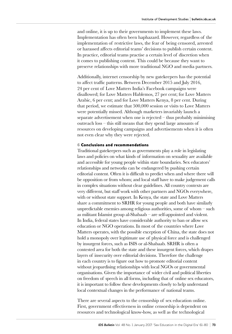and online, it is up to their governments to implement these laws. Implementation has often been haphazard. However, regardless of the implementation of restrictive laws, the fear of being censored, arrested or harassed affects editorial teams' decisions to publish certain content. In practice, editorial teams practise a certain level of discretion when it comes to publishing content. This could be because they want to preserve relationships with more traditional NGO and media partners.

Additionally, internet censorship by new gatekeepers has the potential to affect traffic patterns. Between December 2015 and July 2016, 24 per cent of Love Matters India's Facebook campaigns were disallowed; for Love Matters Hablemos, 27 per cent; for Love Matters Arabic, 6 per cent; and for Love Matters Kenya, 8 per cent. During that period, we estimate that 500,000 session or visits to Love Matters were potentially missed. Although marketers invariably launch a separate advertisement when one is rejected – thus probably minimising outreach loss – this still means that they spend large amounts of resources on developing campaigns and advertisements when it is often not even clear why they were rejected.

#### 6 Conclusions and recommendations

Traditional gatekeepers such as governments play a role in legislating laws and policies on what kinds of information on sexuality are available and accessible for young people within state boundaries. Sex educators' relationships and networks can be endangered by pushing certain editorial content. Often it is difficult to predict when and where there will be opposition or from whom; and local staff have to make judgement calls in complex situations without clear guidelines. All country contexts are very different, but staff work with other partners and NGOs everywhere, with or without state support. In Kenya, the state and Love Matters share a commitment to SRHR for young people and both have similarly unpredictable enemies among religious authorities, some of whom – such as militant Islamist group al-Shabaab – are self-appointed and violent. In India, federal states have considerable authority to ban or allow sex education or NGO operations. In most of the countries where Love Matters operates, with the possible exception of China, the state does not hold a monopoly over legitimate use of physical force and is challenged by insurgent forces, such as ISIS or al-Shabaab. SRHR is often a contested area for both the state and these insurgent forces, which drapes layers of insecurity over editorial decisions. Therefore the challenge in each country is to figure out how to promote editorial content without jeopardising relationships with local NGOs or governmental organisations. Given the importance of wider civil and political liberties on freedom of speech in all forms, including that of online sex educators, it is important to follow these developments closely to help understand local contextual changes in the performance of national teams.

There are several aspects to the censorship of sex education online. First, government effectiveness in online censorship is dependent on resources and technological know-how, as well as the technological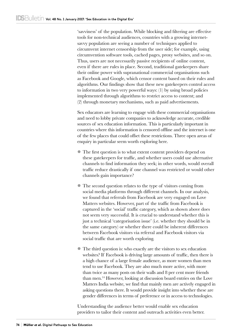'savviness' of the population. While blocking and filtering are effective tools for non-technical audiences, countries with a growing internetsavvy population are seeing a number of techniques applied to circumvent internet censorship from the user side; for example, using circumvention software tools, cached pages, proxy websites, and so on. Thus, users are not necessarily passive recipients of online content, even if there are rules in place. Second, traditional gatekeepers share their online power with supranational commercial organisations such as Facebook and Google, which censor content based on their rules and algorithms. Our findings show that these new gatekeepers control access to information in two very powerful ways: (1) by using broad policies implemented through algorithms to restrict access to content; and (2) through monetary mechanisms, such as paid advertisements.

Sex educators are learning to engage with these commercial organisations and need to lobby private companies to acknowledge accurate, credible sources of sex education information. This is particularly important in countries where this information is censored offline and the internet is one of the few places that could offset these restrictions. Three open areas of enquiry in particular seem worth exploring here.

- l The first question is to what extent content providers depend on these gatekeepers for traffic, and whether users could use alternative channels to find information they seek; in other words, would overall traffic reduce drastically if one channel was restricted or would other channels gain importance?
- l The second question relates to the type of visitors coming from social media platforms through different channels. In our analysis, we found that referrals from Facebook are very engaged on Love Matters websites. However, part of the traffic from Facebook is captured in the 'social' traffic category, which as shown above does not seem very successful. It is crucial to understand whether this is just a technical 'categorisation issue' (i.e. whether they should be in the same category) or whether there could be inherent differences between Facebook visitors via referral and Facebook visitors via social traffic that are worth exploring.
- l The third question is: who exactly are the visitors to sex education websites? If Facebook is driving large amounts of traffic, then there is a high chance of a large female audience, as more women than men tend to use Facebook. They are also much more active, with more than twice as many posts on their walls and 8 per cent more friends than men.14 However, looking at discussion board entries on the Love Matters India website, we find that mainly men are actively engaged in asking questions there. It would provide insight into whether these are gender differences in terms of preference or in access to technologies.

Understanding the audience better would enable sex education providers to tailor their content and outreach activities even better.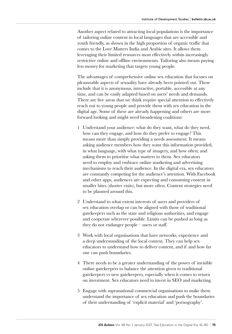Another aspect related to attracting local populations is the importance of tailoring online content in local languages that are accessible and youth friendly, as shown in the high proportion of organic traffic that comes to the Love Matters India and Arabic sites. It allows them leveraging their limited resources most effectively within increasingly restrictive online and offline environments. Tailoring also means paying less money for marketing that targets young people.

The advantages of comprehensive online sex education that focuses on pleasurable aspects of sexuality have already been pointed out. These include that it is anonymous, interactive, portable, accessible at any time, and can be easily adapted based on users' needs and demands. There are five areas that we think require special attention to effectively reach out to young people and provide them with sex education in the digital age. Some of these are already happening and others are more forward looking and might need broadening coalitions:

- 1 Understand your audience: what do they want, what do they need, how can they engage, and how do they prefer to engage? This means more than simply providing a needs assessment. It means asking audience members how they want this information provided, in what language, with what type of imagery, and how often; and asking them to prioritise what matters to them. Sex educators need to employ and embrace online marketing and advertising mechanisms to reach their audience. In the digital era, sex educators are constantly competing for the audience's attention. With Facebook and other apps, audiences are expecting and consuming content in smaller bites (shorter visits), but more often. Content strategies need to be planned around this.
- 2 Understand to what extent interests of users and providers of sex education overlap or can be aligned with those of traditional gatekeepers such as the state and religious authorities, and engage and cooperate wherever possible. Limits can be pushed as long as they do not endanger people – users or staff.
- 3 Work with local organisations that have networks, experience and a deep understanding of the local context. They can help sex educators to understand how to deliver content, and if and how far one can push boundaries.
- 4 There needs to be a greater understanding of the power of invisible online gatekeepers to balance the attention given to traditional gatekeepers vs new gatekeepers, especially when it comes to return on investment. Sex educators need to invest in SEO and marketing.
- 5 Engage with supranational commercial organisations to make them understand the importance of sex education and push the boundaries of their understanding of 'explicit material' and 'pornography'.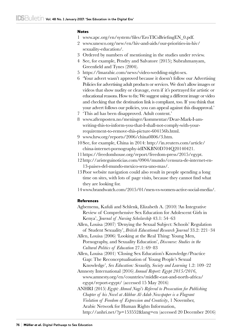#### **Notes**

- 1 www.apc.org/en/system/files/EroTICsBriefingEN\_0.pdf.
- 2 www.unesco.org/new/en/hiv-and-aids/our-priorities-in-hiv/ sexuality-education/.
- 3 Ordered by numbers of mentioning in the studies under review.
- 4 See, for example, Pendry and Salvatore (2015); Subrahmanyam, Greenfield and Tynes (2004).
- 5 https://lmarabic.com/news/video-wedding-night-sex.
- 6 'Your advert wasn't approved because it doesn't follow our Advertising Policies for advertising adult products or services. We don't allow images or videos that show nudity or cleavage, even if it's portrayed for artistic or educational reasons. How to fix: We suggest using a different image or video and checking that the destination link is compliant, too. If you think that your advert follows our policies, you can appeal against this disapproval.'
- 7 'This ad has been disapproved. Adult content.'
- 8 www.aftenposten.no/meninger/kommentar/Dear-Mark-I-amwriting-this-to-inform-you-that-I-shall-not-comply-with-yourrequirement-to-remove-this-picture-604156b.html.
- 9 www.hrw.org/reports/2006/china0806/3.htm.
- 10See, for example, China in 2014: http://in.reuters.com/article/ china-internet-pornography-idINKBN0D704Q20140421.
- 11 https://freedomhouse.org/report/freedom-press/2015/egypt.
- 12 http://aristeguinoticias.com/0904/mundo/censura-de-internet-en-13-paises-del-mundo-mexico-sera-uno-mas/.
- 13Poor website navigation could also result in people spending a long time on sites, with lots of page visits, because they cannot find what they are looking for.
- 14www.brandwatch.com/2015/01/men-vs-women-active-social-media/.

#### References

Agbemenu, Kafuli and Schlenk, Elizabeth A. (2010) 'An Integrative Review of Comprehensive Sex Education for Adolescent Girls in Kenya', *Journal of Nursing Scholarship* 43.1: 54–63

Allen, Louisa (2007) 'Denying the Sexual Subject: Schools' Regulation of Student Sexuality', *British Educational Research Journal* 33.2: 221–34

Allen, Louisa (2006) 'Looking at the Real Thing: Young Men, Pornography, and Sexuality Education', *Discourse: Studies in the Cultural Politics of Education* 27.1: 69–83

Allen, Louisa (2001) 'Closing Sex Education's Knowledge/Practice Gap: The Reconceptualisation of Young People's Sexual Knowledge', *Sex Education: Sexuality, Society and Learning* 1.2: 109–22

Amnesty International (2016) *Annual Report: Egypt 2015/2016*, www.amnesty.org/en/countries/middle-east-and-north-africa/ egypt/report-egypt/ (accessed 15 May 2016)

ANHRI (2015) *Egypt: Ahmed Nagi's Referral to Prosecution for Publishing Chapter of his Novel at Akhbar Al-Adab Newspaper is a Flagrant Violation of Freedom of Expression and Creativity*, 1 November, Arabic Network for Human Rights Information,

http://anhri.net/?p=153552&lang=en (accessed 20 December 2016)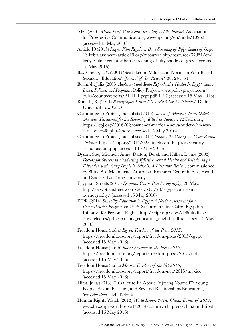- APC (2010) *Media Brief: Censorship, Sexuality, and the Internet*, Association for Progressive Communications, www.apc.org/en/node/10262 (accessed 15 May 2016)
- Article 19 (2015) *Kenya: Film Regulator Bans Screening of Fifty Shades of Grey*, 13 February, www.article19.org/resources.php/resource/37851/en/ kenya:-film-regulator-bans-screening-of-fifty-shades-of-grey (accessed 15 May 2016)

Bay-Cheng, L.Y. (2001) 'SexEd.com: Values and Norms in Web-Based Sexuality Education', *Journal of Sex Research* 38: 241–51

Beamish, Julia (2003) *Adolescent and Youth Reproductive Health In Egypt: Status, Issues, Policies, and Programs*, Policy Project, www.policyproject.com/ pubs/countryreports/ARH\_Egypt.pdf: 1–27 (accessed 15 May 2016)

Brajesh, R. (2011) *Pornography Laws: XXX Must Not be Tolerated,* Delhi: Universal Law Co.: 61

Committee to Protect Journalists (2016) *Owner of Mexican News Outlet who was Threatened for his Reporting Killed in Tabasco,* 22 February, https://cpj.org/2016/02/owner-of-mexican-news-outlet-who-wasthreatened-fo.php#more (accessed 15 May 2016)

Committee to Protect Journalists (2014) *Finding the Courage to Cover Sexual Violence*, https://cpj.org/2014/02/attacks-on-the-press-securitysexual-assault.php (accessed 15 May 2016)

Dyson, Sue; Mitchell, Anne; Dalton, Derek and Hillier, Lynne (2003) *Factors for Success in Conducting Effective Sexual Health and Relationships Education with Young People in Schools: A Literature Review,* commissioned by Shine SA, Melbourne: Australian Research Centre in Sex, Health, and Society, La Trobe University

Egyptian Streets (2015) *Egyptian Courts Ban Pornography*, 20 May, http://egyptianstreets.com/2015/05/20/egypt-court-banspornography/ (accessed 16 May 2016)

EIPR (2014) *Sexuality Education in Egypt: A Needs Assessment for a Comprehensive Program for Youth,* St Garden City, Cairo: Egyptian Initiative for Personal Rights, http://eipr.org/sites/default/files/ pressreleases/pdf/sexuality\_education\_english.pdf (accessed 15 May 2016)

Freedom House (n.d.a) *Egypt: Freedom of the Press 2015*, https://freedomhouse.org/report/freedom-press/2015/egypt (accessed 15 May 2016)

Freedom House (n.d.b) *India: Freedom of the Press 2015*, https://freedomhouse.org/report/freedom-press/2015/india (accessed 15 May 2016)

- Freedom House (n.d.c) *Mexico: Freedom of the Net 2015*, https://freedomhouse.org/report/freedom-net/2015/mexico (accessed 15 May 2016)
- Hirst, Julia (2013) "It's Got to Be About Enjoying Yourself": Young People, Sexual Pleasure, and Sex and Relationships Education', *Sex Education* 13.4: 423–36

Human Rights Watch (2013) *World Report 2014: China, Events of 2013*, www.hrw.org/world-report/2014/country-chapters/china-and-tibet (accessed 16 May 2016)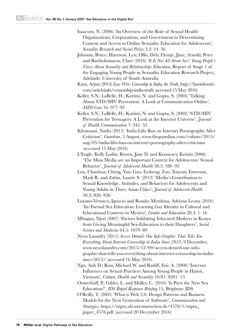Isaacson, N. (2006) 'An Overview of the Role of Sexual Health Organizations, Corporations, and Government in Determining Content and Access to Online Sexuality Education for Adolescents', *Sexuality Research and Social Policy* 3.2: 24–36

- Johnson, Bruce; Harrison, Lyn; Ollis, Deb; Flentje, Jane; Arnold, Peter and Bartholomaeus, Clare (2016) *'It Is Not All About Sex': Young People's Views About Sexuality and Relationships Education*, Report of Stage 1 of the Engaging Young People in Sexuality Education Research Project, Adelaide: University of South Australia
- Kant, Arjun (2014) *Law Wire: Censorship in India, the Truth*, http://lawinfowire. com/articleinfo/censorship-india-truth (accessed 15 May 2016)
- Keller, S.N.; LaBelle, H.; Karimi, N. and Gupta, S. (2004) 'Talking About STD/HIV Prevention: A Look at Communication Online', *AIDS Care* 16: 977–92
- Keller, S.N.; LaBelle, H.; Karimi, N. and Gupta, S. (2002) 'STD/HIV Prevention for Teenagers: A Look at the Internet Universe', *Journal of Health Communication* 7: 341–53
- Khomami, Nadia (2015) 'India Lifts Ban on Internet Pornography After Criticism', *Guardian*, 5 August, www.theguardian.com/culture/2015/ aug/05/india-lifts-ban-on-internet-pornography-after-criticisms (accessed 15 May 2016)
- L'Engle, Kelly Ladin; Brown, Jane D. and Kenneavy, Kristin (2006) 'The Mass Media are an Important Context for Adolescents' Sexual Behavior', *Journal of Adolescent Health* 38.3: 186–92
- Lou, Chaohua; Cheng, Yan; Gao, Ersheng; Zuo, Xiayun; Emerson, Mark R. and Zabin, Laurie S. (2012) 'Media's Contribution to Sexual Knowledge, Attitudes, and Behaviors for Adolescents and Young Adults in Three Asian Cities', *Journal of Adolescent Health*  50.3: S26–S36
- Lozano-Veruzco, Ignacio and Rosales Mendoza, Adriana Leona (2016) 'In/Formal Sex Education: Learning Gay Identity in Cultural and Educational Contexts in Mexico', *Gender and Education* 28.4: 1–16
- Mbugua, Njeri (2007) 'Factors Inhibiting Educated Mothers in Kenya from Giving Meaningful Sex-Education to their Daughters', *Social Science and Medicine* 64.5: 1079–89
- News Laundry (2015) *Access Denied: One Info-Graphic That Tells You Everything About Internet Censorship in India Since 2012,* 9 December, www.newslaundry.com/2015/12/09/access-denied-one-infographic-that-tells-you-everything-about-internet-censorship-in-indiasince-2012/ (accessed 16 May 2016)
- Ngo, Anh D.; Ross, Michael W. and Ratliff, Eric A. (2008) 'Internet Influences on Sexual Practices Among Young People in Hanoi, Vietnam', *Culture, Health and Sexuality* 10.S1: S201–13
- Oosterhoff, P.; Gilder, L. and Müller, C. (2016) 'Is Porn the New Sex Education?', *IDS Rapid Response Briefing* 15, Brighton: IDS
- O'Reilly, T. (2005) 'What is Web 2.0: Design Patterns and Business Models for the Next Generation of Software', *Communication and Strategies,* [https://mpra.ub.uni-muenchen.de/4578/1/mpra\\_](https://mpra.ub.uni-muenchen.de/4578/1/mpra_paper_4578.pdf) [paper\\_4578.pdf](https://mpra.ub.uni-muenchen.de/4578/1/mpra_paper_4578.pdf) (accessed 20 December 2016)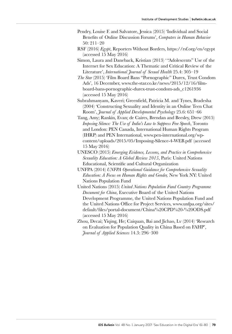- Pendry, Louise F. and Salvatore, Jessica (2015) 'Individual and Social Benefits of Online Discussion Forums', *Computers in Human Behavior* 50: 211–20
- RSF (2016) *Egypt*, Reporters Without Borders, https://rsf.org/en/egypt (accessed 15 May 2016)
- Simon, Laura and Daneback, Kristian (2013) ' "Adolescents" Use of the Internet for Sex Education: A Thematic and Critical Review of the Literature', *International Journal of Sexual Health* 25.4: 305–19
- *The Star* (2015) 'Film Board Bans "Pornographic" Durex, Trust Condom Ads', 16 December, www.the-star.co.ke/news/2015/12/16/filmboard-bans-pornographic-durex-trust-condom-ads\_c1261936 (accessed 15 May 2016)
- Subrahmanyam, Kaveri; Greenfield, Patricia M. and Tynes, Bradesha (2004) 'Constructing Sexuality and Identity in an Online Teen Chat Room', *Journal of Applied Developmental Psychology* 25.6: 651–66
- Tang, Amy; Rankin, Evan; de Caires, Brendan and Beesley, Drew (2015) *Imposing Silence: The Use of India's Law to Suppress Free Speech*, Toronto and London: PEN Canada, International Human Rights Program (IHRP) and PEN International, www.pen-international.org/wpcontent/uploads/2015/05/Imposing-Silence-4-WEB.pdf (accessed 15 May 2016)
- UNESCO (2015) *Emerging Evidence, Lessons, and Practice in Comprehensive Sexuality Education: A Global Review 2015*, Paris: United Nations Educational, Scientific and Cultural Organization
- UNFPA (2014) *UNFPA Operational Guidance for Comprehensive Sexuality Education: A Focus on Human Rights and Gender,* New York NY: United Nations Population Fund
- United Nations (2015) *United Nations Population Fund Country Programme Document for China*, Executive Board of the United Nations Development Programme, the United Nations Population Fund and the United Nations Office for Project Services, www.unfpa.org/sites/ default/files/portal-document/China%20CPD%20-%20ODS.pdf (accessed 15 May 2016)
- Zhou, Decai; Yiqing, He; Caiquan, Bai and Jichao, Lv (2014) 'Research on Evaluation for Population Quality in China Based on FAHP', *Journal of Applied Sciences* 14.3: 296–300